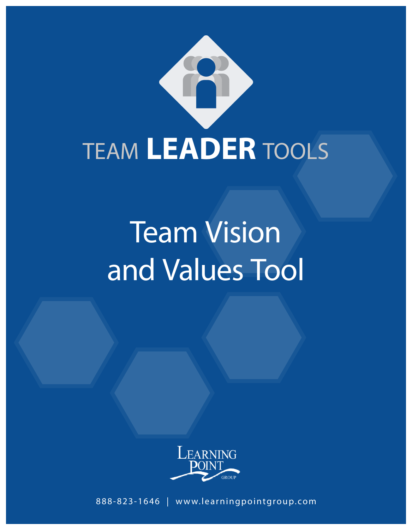

# Team Vision and Values Tool



**1 Learning Point Group | 888-823-1646 | www.learningpointgroup.com** 888-823-1646 | www.learningpointgroup.com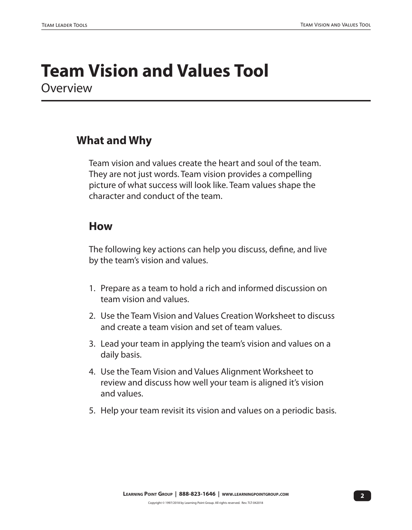# **Team Vision and Values Tool Overview**

# **What and Why**

Team vision and values create the heart and soul of the team. They are not just words. Team vision provides a compelling picture of what success will look like. Team values shape the character and conduct of the team.

# **How**

The following key actions can help you discuss, define, and live by the team's vision and values.

- 1. Prepare as a team to hold a rich and informed discussion on team vision and values.
- 2. Use the Team Vision and Values Creation Worksheet to discuss and create a team vision and set of team values.
- 3. Lead your team in applying the team's vision and values on a daily basis.
- 4. Use the Team Vision and Values Alignment Worksheet to review and discuss how well your team is aligned it's vision and values.
- 5. Help your team revisit its vision and values on a periodic basis.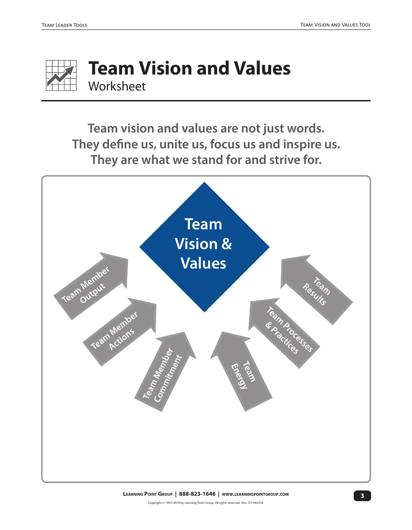

# **Team Vision and Values Worksheet**

**Team vision and values are not just words. They define us, unite us, focus us and inspire us. They are what we stand for and strive for.**

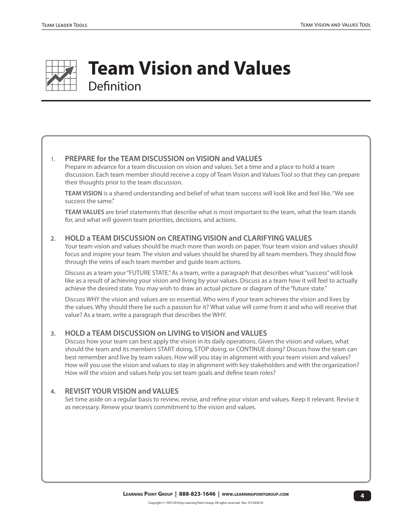

# **Team Vision and Values Definition**

#### 1. **PREPARE for the TEAM DISCUSSION on VISION and VALUES**

Prepare in advance for a team discussion on vision and values. Set a time and a place to hold a team discussion. Each team member should receive a copy of Team Vision and Values Tool so that they can prepare their thoughts prior to the team discussion.

**TEAM VISION** is a shared understanding and belief of what team success will look like and feel like. "We see success the same."

**TEAM VALUES** are brief statements that describe what is most important to the team, what the team stands for, and what will govern team priorities, decisions, and actions.

#### **2. HOLD a TEAM DISCUSSION on CREATING VISION and CLARIFYING VALUES**

Your team vision and values should be much more than words on paper. Your team vision and values should focus and inspire your team. The vision and values should be shared by all team members. They should flow through the veins of each team member and guide team actions.

Discuss as a team your "FUTURE STATE." As a team, write a paragraph that describes what "success" will look like as a result of achieving your vision and living by your values. Discuss as a team how it will feel to actually achieve the desired state. You may wish to draw an actual picture or diagram of the "future state."

Discuss WHY the vision and values are so essential. Who wins if your team achieves the vision and lives by the values. Why should there be such a passion for it? What value will come from it and who will receive that value? As a team, write a paragraph that describes the WHY.

#### **3. HOLD a TEAM DISCUSSION on LIVING to VISION and VALUES**

Discuss how your team can best apply the vision in its daily operations. Given the vision and values, what should the team and its members START doing, STOP doing, or CONTINUE doing? Discuss how the team can best remember and live by team values. How will you stay in alignment with your team vision and values? How will you use the vision and values to stay in alignment with key stakeholders and with the organization? How will the vision and values help you set team goals and define team roles?

#### **4. REVISIT YOUR VISION and VALUES**

Set time aside on a regular basis to review, revise, and refine your vision and values. Keep it relevant. Revise it as necessary. Renew your team's commitment to the vision and values.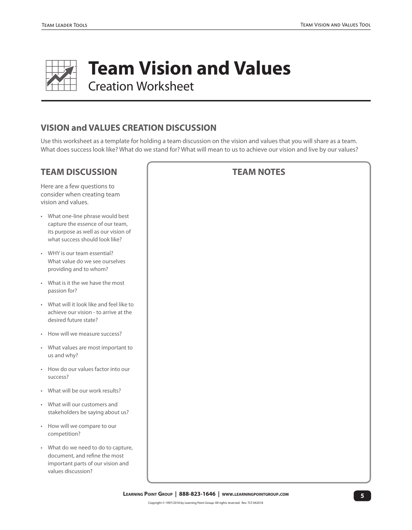

## **VISION and VALUES CREATION DISCUSSION**

Use this worksheet as a template for holding a team discussion on the vision and values that you will share as a team. What does success look like? What do we stand for? What will mean to us to achieve our vision and live by our values?

## **TEAM DISCUSSION**

Here are a few questions to consider when creating team vision and values.

- What one-line phrase would best capture the essence of our team, its purpose as well as our vision of what success should look like?
- WHY is our team essential? What value do we see ourselves providing and to whom?
- What is it the we have the most passion for?
- What will it look like and feel like to achieve our vision - to arrive at the desired future state?
- How will we measure success?
- What values are most important to us and why?
- How do our values factor into our success?
- What will be our work results?
- What will our customers and stakeholders be saying about us?
- How will we compare to our competition?
- What do we need to do to capture, document, and refine the most important parts of our vision and values discussion?

#### **TEAM NOTES**

**5 Learning Point Group | 888-823-1646 | www.learningpointgroup.com**

Copyright © 1997/2018 by Learning Point Group. All rights reserved. Rev. TLT-042018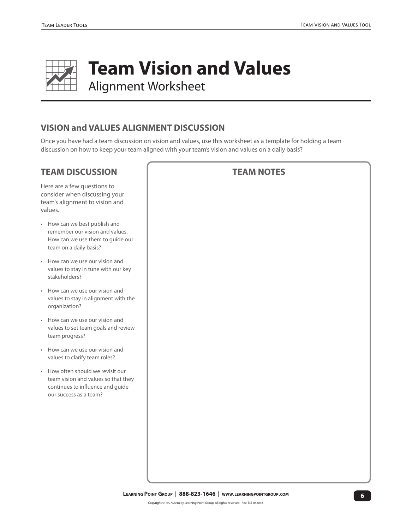

**Team Vision and Values** 

Alignment Worksheet

## **VISION and VALUES ALIGNMENT DISCUSSION**

Once you have had a team discussion on vision and values, use this worksheet as a template for holding a team discussion on how to keep your team aligned with your team's vision and values on a daily basis?

## **TEAM DISCUSSION**

Here are a few questions to consider when discussing your team's alignment to vision and values.

- How can we best publish and remember our vision and values. How can we use them to guide our team on a daily basis?
- How can we use our vision and values to stay in tune with our key stakeholders?
- How can we use our vision and values to stay in alignment with the organization?
- How can we use our vision and values to set team goals and review team progress?
- How can we use our vision and values to clarify team roles?
- How often should we revisit our team vision and values so that they continues to influence and guide our success as a team?

## **TEAM NOTES**